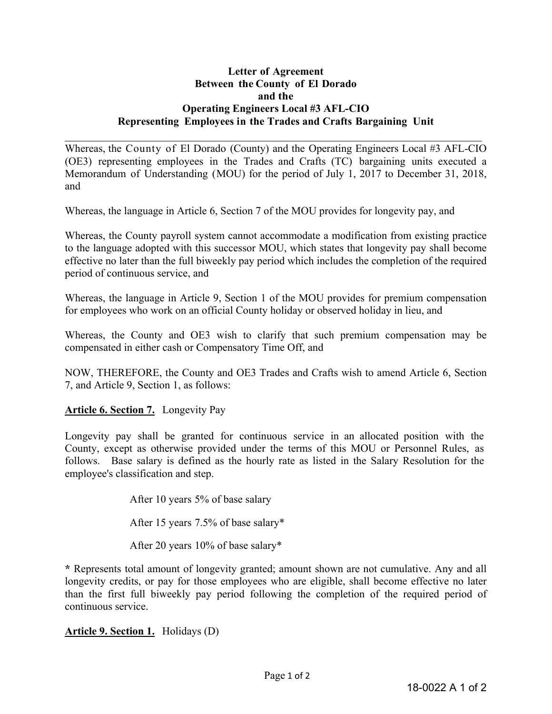## **Letter of Agreement Between the County of El Dorado and the Operating Engineers Local #3 AFL-CIO Representing Employees in the Trades and Crafts Bargaining Unit**

Whereas, the County of El Dorado (County) and the Operating Engineers Local #3 AFL-CIO (OE3) representing employees in the Trades and Crafts (TC) bargaining units executed a Memorandum of Understanding (MOU) for the period of July 1, 2017 to December 31, 2018, and

Whereas, the language in Article 6, Section 7 of the MOU provides for longevity pay, and

Whereas, the County payroll system cannot accommodate a modification from existing practice to the language adopted with this successor MOU, which states that longevity pay shall become effective no later than the full biweekly pay period which includes the completion of the required period of continuous service, and

Whereas, the language in Article 9, Section 1 of the MOU provides for premium compensation for employees who work on an official County holiday or observed holiday in lieu, and

Whereas, the County and OE3 wish to clarify that such premium compensation may be compensated in either cash or Compensatory Time Off, and

NOW, THEREFORE, the County and OE3 Trades and Crafts wish to amend Article 6, Section 7, and Article 9, Section 1, as follows:

**Article 6. Section 7.** Longevity Pay

Longevity pay shall be granted for continuous service in an allocated position with the County, except as otherwise provided under the terms of this MOU or Personnel Rules, as follows. Base salary is defined as the hourly rate as listed in the Salary Resolution for the employee's classification and step.

> After 10 years 5% of base salary After 15 years 7.5% of base salary\* After 20 years 10% of base salary\*

**\*** Represents total amount of longevity granted; amount shown are not cumulative. Any and all longevity credits, or pay for those employees who are eligible, shall become effective no later than the first full biweekly pay period following the completion of the required period of continuous service.

**Article 9. Section 1.** Holidays (D)